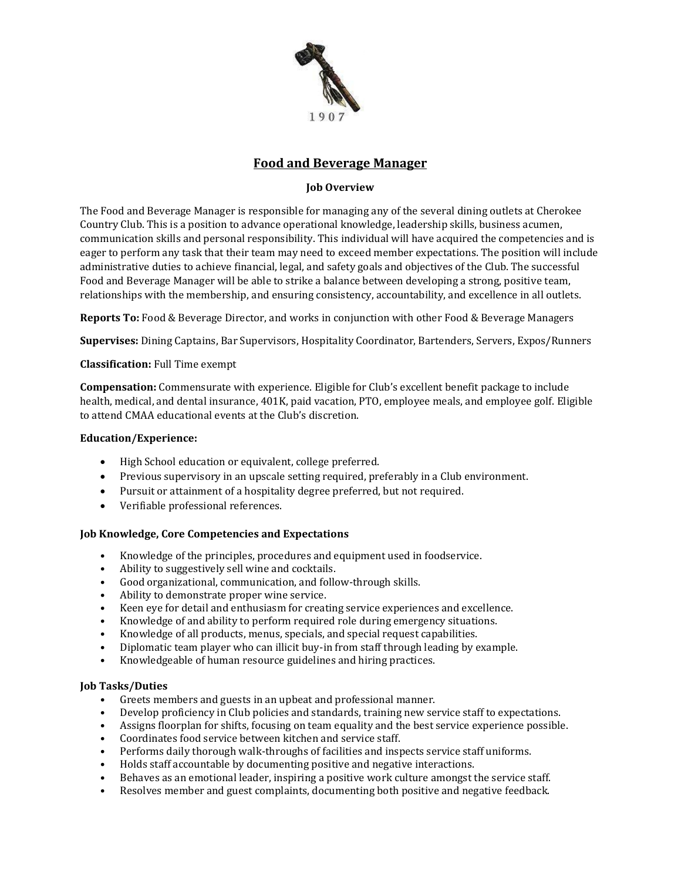

# **Food and Beverage Manager**

## **Job Overview**

The Food and Beverage Manager is responsible for managing any of the several dining outlets at Cherokee Country Club. This is a position to advance operational knowledge, leadership skills, business acumen, communication skills and personal responsibility. This individual will have acquired the competencies and is eager to perform any task that their team may need to exceed member expectations. The position will include administrative duties to achieve financial, legal, and safety goals and objectives of the Club. The successful Food and Beverage Manager will be able to strike a balance between developing a strong, positive team, relationships with the membership, and ensuring consistency, accountability, and excellence in all outlets.

**Reports To:** Food & Beverage Director, and works in conjunction with other Food & Beverage Managers

**Supervises:** Dining Captains, Bar Supervisors, Hospitality Coordinator, Bartenders, Servers, Expos/Runners

### **Classification:** Full Time exempt

**Compensation:** Commensurate with experience. Eligible for Club's excellent benefit package to include health, medical, and dental insurance, 401K, paid vacation, PTO, employee meals, and employee golf. Eligible to attend CMAA educational events at the Club's discretion.

### **Education/Experience:**

- High School education or equivalent, college preferred.
- Previous supervisory in an upscale setting required, preferably in a Club environment.
- Pursuit or attainment of a hospitality degree preferred, but not required.
- Verifiable professional references.

### **Job Knowledge, Core Competencies and Expectations**

- **•** Knowledge of the principles, procedures and equipment used in foodservice.
- **•** Ability to suggestively sell wine and cocktails.
- **•** Good organizational, communication, and follow-through skills.
- **•** Ability to demonstrate proper wine service.
- **•** Keen eye for detail and enthusiasm for creating service experiences and excellence.
- **•** Knowledge of and ability to perform required role during emergency situations.
- **•** Knowledge of all products, menus, specials, and special request capabilities.
- **•** Diplomatic team player who can illicit buy-in from staff through leading by example.
- **•** Knowledgeable of human resource guidelines and hiring practices.

### **Job Tasks/Duties**

- **•** Greets members and guests in an upbeat and professional manner.
- **•** Develop proficiency in Club policies and standards, training new service staff to expectations.
- **•** Assigns floorplan for shifts, focusing on team equality and the best service experience possible.
- **•** Coordinates food service between kitchen and service staff.
- **•** Performs daily thorough walk-throughs of facilities and inspects service staff uniforms.
- **•** Holds staff accountable by documenting positive and negative interactions.
- **•** Behaves as an emotional leader, inspiring a positive work culture amongst the service staff.
- **•** Resolves member and guest complaints, documenting both positive and negative feedback.